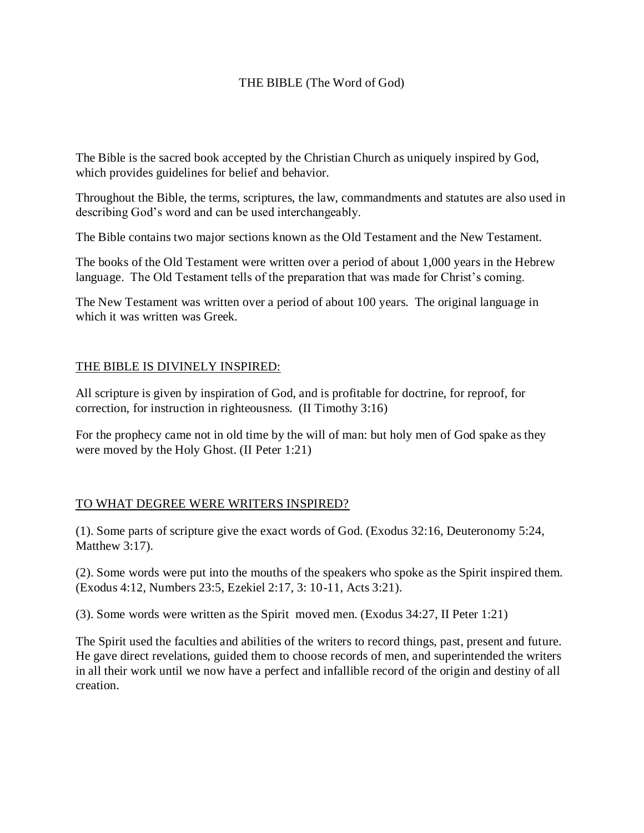#### THE BIBLE (The Word of God)

The Bible is the sacred book accepted by the Christian Church as uniquely inspired by God, which provides guidelines for belief and behavior.

Throughout the Bible, the terms, scriptures, the law, commandments and statutes are also used in describing God's word and can be used interchangeably.

The Bible contains two major sections known as the Old Testament and the New Testament.

The books of the Old Testament were written over a period of about 1,000 years in the Hebrew language. The Old Testament tells of the preparation that was made for Christ's coming.

The New Testament was written over a period of about 100 years. The original language in which it was written was Greek.

#### THE BIBLE IS DIVINELY INSPIRED:

All scripture is given by inspiration of God, and is profitable for doctrine, for reproof, for correction, for instruction in righteousness. (II Timothy 3:16)

For the prophecy came not in old time by the will of man: but holy men of God spake as they were moved by the Holy Ghost. (II Peter 1:21)

## TO WHAT DEGREE WERE WRITERS INSPIRED?

(1). Some parts of scripture give the exact words of God. (Exodus 32:16, Deuteronomy 5:24, Matthew 3:17).

(2). Some words were put into the mouths of the speakers who spoke as the Spirit inspired them. (Exodus 4:12, Numbers 23:5, Ezekiel 2:17, 3: 10-11, Acts 3:21).

(3). Some words were written as the Spirit moved men. (Exodus 34:27, II Peter 1:21)

The Spirit used the faculties and abilities of the writers to record things, past, present and future. He gave direct revelations, guided them to choose records of men, and superintended the writers in all their work until we now have a perfect and infallible record of the origin and destiny of all creation.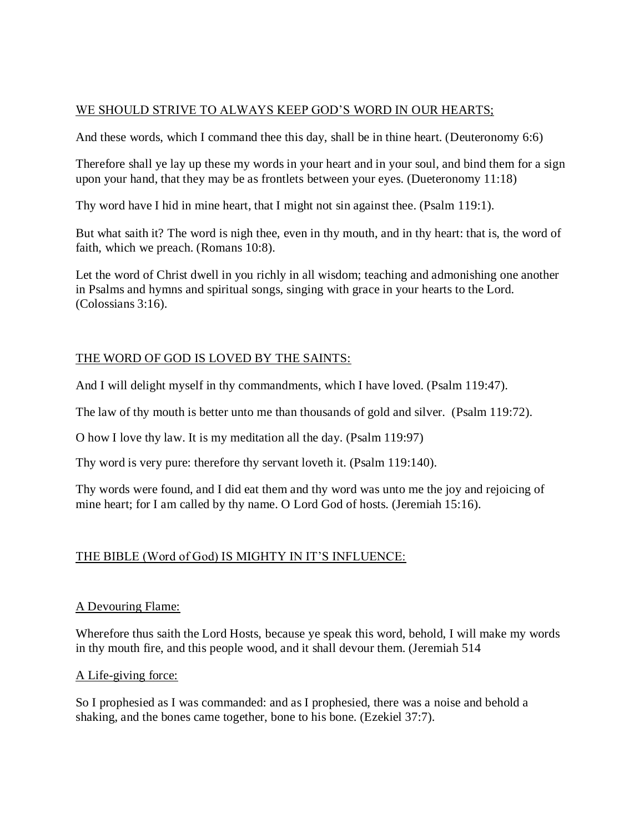#### WE SHOULD STRIVE TO ALWAYS KEEP GOD'S WORD IN OUR HEARTS;

And these words, which I command thee this day, shall be in thine heart. (Deuteronomy 6:6)

Therefore shall ye lay up these my words in your heart and in your soul, and bind them for a sign upon your hand, that they may be as frontlets between your eyes. (Dueteronomy 11:18)

Thy word have I hid in mine heart, that I might not sin against thee. (Psalm 119:1).

But what saith it? The word is nigh thee, even in thy mouth, and in thy heart: that is, the word of faith, which we preach. (Romans 10:8).

Let the word of Christ dwell in you richly in all wisdom; teaching and admonishing one another in Psalms and hymns and spiritual songs, singing with grace in your hearts to the Lord. (Colossians 3:16).

# THE WORD OF GOD IS LOVED BY THE SAINTS:

And I will delight myself in thy commandments, which I have loved. (Psalm 119:47).

The law of thy mouth is better unto me than thousands of gold and silver. (Psalm 119:72).

O how I love thy law. It is my meditation all the day. (Psalm 119:97)

Thy word is very pure: therefore thy servant loveth it. (Psalm 119:140).

Thy words were found, and I did eat them and thy word was unto me the joy and rejoicing of mine heart; for I am called by thy name. O Lord God of hosts. (Jeremiah 15:16).

## THE BIBLE (Word of God) IS MIGHTY IN IT'S INFLUENCE:

## A Devouring Flame:

Wherefore thus saith the Lord Hosts, because ye speak this word, behold, I will make my words in thy mouth fire, and this people wood, and it shall devour them. (Jeremiah 514

## A Life-giving force:

So I prophesied as I was commanded: and as I prophesied, there was a noise and behold a shaking, and the bones came together, bone to his bone. (Ezekiel 37:7).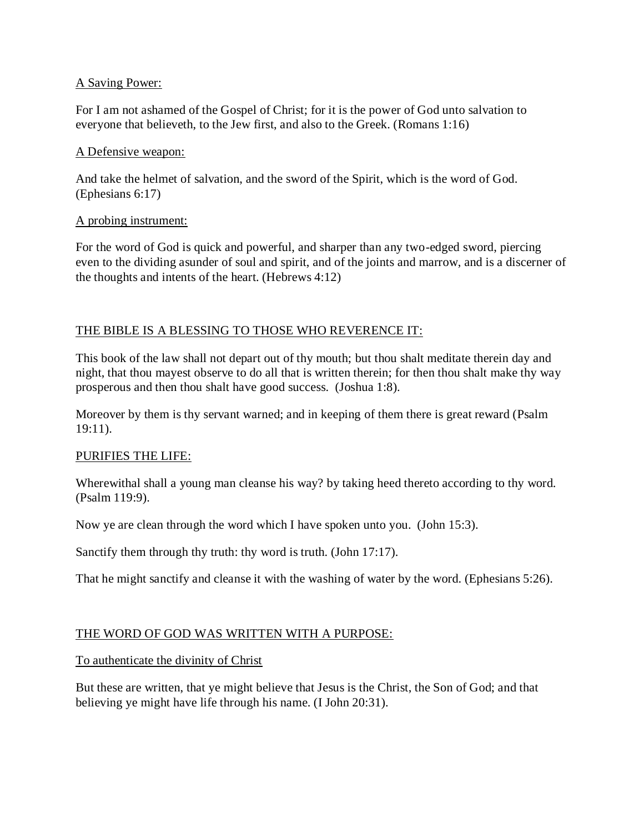#### A Saving Power:

For I am not ashamed of the Gospel of Christ; for it is the power of God unto salvation to everyone that believeth, to the Jew first, and also to the Greek. (Romans 1:16)

#### A Defensive weapon:

And take the helmet of salvation, and the sword of the Spirit, which is the word of God. (Ephesians 6:17)

#### A probing instrument:

For the word of God is quick and powerful, and sharper than any two-edged sword, piercing even to the dividing asunder of soul and spirit, and of the joints and marrow, and is a discerner of the thoughts and intents of the heart. (Hebrews 4:12)

## THE BIBLE IS A BLESSING TO THOSE WHO REVERENCE IT:

This book of the law shall not depart out of thy mouth; but thou shalt meditate therein day and night, that thou mayest observe to do all that is written therein; for then thou shalt make thy way prosperous and then thou shalt have good success. (Joshua 1:8).

Moreover by them is thy servant warned; and in keeping of them there is great reward (Psalm 19:11).

## PURIFIES THE LIFE:

Wherewithal shall a young man cleanse his way? by taking heed thereto according to thy word. (Psalm 119:9).

Now ye are clean through the word which I have spoken unto you. (John 15:3).

Sanctify them through thy truth: thy word is truth. (John 17:17).

That he might sanctify and cleanse it with the washing of water by the word. (Ephesians 5:26).

## THE WORD OF GOD WAS WRITTEN WITH A PURPOSE:

To authenticate the divinity of Christ

But these are written, that ye might believe that Jesus is the Christ, the Son of God; and that believing ye might have life through his name. (I John 20:31).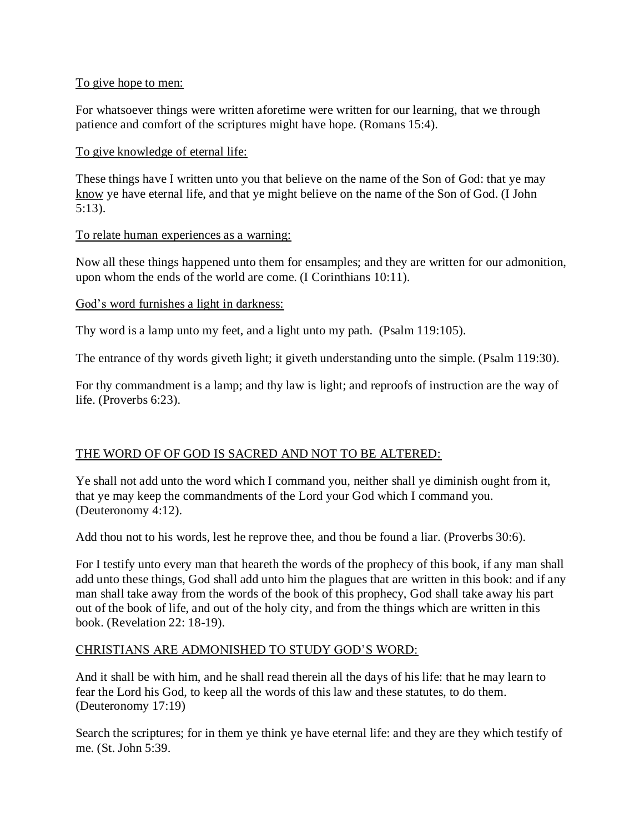#### To give hope to men:

For whatsoever things were written aforetime were written for our learning, that we through patience and comfort of the scriptures might have hope. (Romans 15:4).

#### To give knowledge of eternal life:

These things have I written unto you that believe on the name of the Son of God: that ye may know ye have eternal life, and that ye might believe on the name of the Son of God. (I John 5:13).

#### To relate human experiences as a warning:

Now all these things happened unto them for ensamples; and they are written for our admonition, upon whom the ends of the world are come. (I Corinthians 10:11).

#### God's word furnishes a light in darkness:

Thy word is a lamp unto my feet, and a light unto my path. (Psalm 119:105).

The entrance of thy words giveth light; it giveth understanding unto the simple. (Psalm 119:30).

For thy commandment is a lamp; and thy law is light; and reproofs of instruction are the way of life. (Proverbs 6:23).

## THE WORD OF OF GOD IS SACRED AND NOT TO BE ALTERED:

Ye shall not add unto the word which I command you, neither shall ye diminish ought from it, that ye may keep the commandments of the Lord your God which I command you. (Deuteronomy 4:12).

Add thou not to his words, lest he reprove thee, and thou be found a liar. (Proverbs 30:6).

For I testify unto every man that heareth the words of the prophecy of this book, if any man shall add unto these things, God shall add unto him the plagues that are written in this book: and if any man shall take away from the words of the book of this prophecy, God shall take away his part out of the book of life, and out of the holy city, and from the things which are written in this book. (Revelation 22: 18-19).

## CHRISTIANS ARE ADMONISHED TO STUDY GOD'S WORD:

And it shall be with him, and he shall read therein all the days of his life: that he may learn to fear the Lord his God, to keep all the words of this law and these statutes, to do them. (Deuteronomy 17:19)

Search the scriptures; for in them ye think ye have eternal life: and they are they which testify of me. (St. John 5:39.